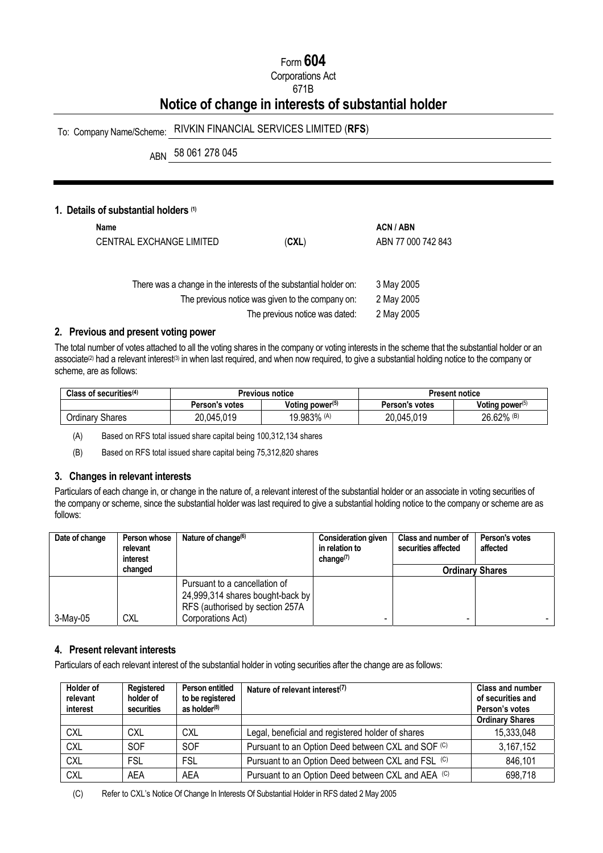# Form **604**

Corporations Act

### 671B

# **Notice of change in interests of substantial holder**

# To: Company Name/Scheme: RIVKIN FINANCIAL SERVICES LIMITED (**RFS**)

ABN 58 061 278 045

## **1. Details of substantial holders (1)**

| Name | CENTRAL EXCHANGE LIMITED | (CXL)                                                                                                                 | ACN / ABN<br>ABN 77 000 742 843 |
|------|--------------------------|-----------------------------------------------------------------------------------------------------------------------|---------------------------------|
|      |                          | There was a change in the interests of the substantial holder on:<br>The previous notice was given to the company on: | 3 May 2005<br>2 May 2005        |

The previous notice was dated: 2 May 2005

#### **2. Previous and present voting power**

The total number of votes attached to all the voting shares in the company or voting interests in the scheme that the substantial holder or an associate<sup>(2)</sup> had a relevant interest<sup>(3)</sup> in when last required, and when now required, to give a substantial holding notice to the company or scheme, are as follows:

| Class of securities $(4)$ | Previous notice |                    | <b>Present notice</b> |                    |
|---------------------------|-----------------|--------------------|-----------------------|--------------------|
|                           | Person's votes  | Voting power $(5)$ | Person's votes        | Voting power $(5)$ |
| <b>Ordinary Shares</b>    | 20,045,019      | 19.983% (A)        | 20,045,019            | $26.62\%$ (B)      |

(A) Based on RFS total issued share capital being 100,312,134 shares

(B) Based on RFS total issued share capital being 75,312,820 shares

#### **3. Changes in relevant interests**

Particulars of each change in, or change in the nature of, a relevant interest of the substantial holder or an associate in voting securities of the company or scheme, since the substantial holder was last required to give a substantial holding notice to the company or scheme are as follows:

| Date of change | Person whose<br>relevant<br>interest | Nature of change $(6)$                                                                               | <b>Consideration given</b><br>in relation to<br>change $(7)$ | Class and number of<br>securities affected | Person's votes<br>affected |
|----------------|--------------------------------------|------------------------------------------------------------------------------------------------------|--------------------------------------------------------------|--------------------------------------------|----------------------------|
|                | changed                              |                                                                                                      |                                                              | <b>Ordinary Shares</b>                     |                            |
|                |                                      | Pursuant to a cancellation of<br>24,999,314 shares bought-back by<br>RFS (authorised by section 257A |                                                              |                                            |                            |
| $3-May-05$     | <b>CXL</b>                           | Corporations Act)                                                                                    |                                                              |                                            |                            |

## **4. Present relevant interests**

Particulars of each relevant interest of the substantial holder in voting securities after the change are as follows:

| <b>Holder of</b><br>relevant<br>interest | <b>Registered</b><br>holder of<br>securities | Person entitled<br>to be registered<br>as holder $(8)$ | Nature of relevant interest <sup>(7)</sup>         | <b>Class and number</b><br>of securities and<br>Person's votes |
|------------------------------------------|----------------------------------------------|--------------------------------------------------------|----------------------------------------------------|----------------------------------------------------------------|
|                                          |                                              |                                                        |                                                    | <b>Ordinary Shares</b>                                         |
| <b>CXL</b>                               | <b>CXL</b>                                   | <b>CXL</b>                                             | Legal, beneficial and registered holder of shares  | 15,333,048                                                     |
| <b>CXL</b>                               | <b>SOF</b>                                   | <b>SOF</b>                                             | Pursuant to an Option Deed between CXL and SOF (C) | 3,167,152                                                      |
| <b>CXL</b>                               | FSL                                          | <b>FSL</b>                                             | Pursuant to an Option Deed between CXL and FSL (C) | 846,101                                                        |
| <b>CXL</b>                               | AEA                                          | AFA                                                    | Pursuant to an Option Deed between CXL and AEA (C) | 698,718                                                        |

(C) Refer to CXL's Notice Of Change In Interests Of Substantial Holder in RFS dated 2 May 2005